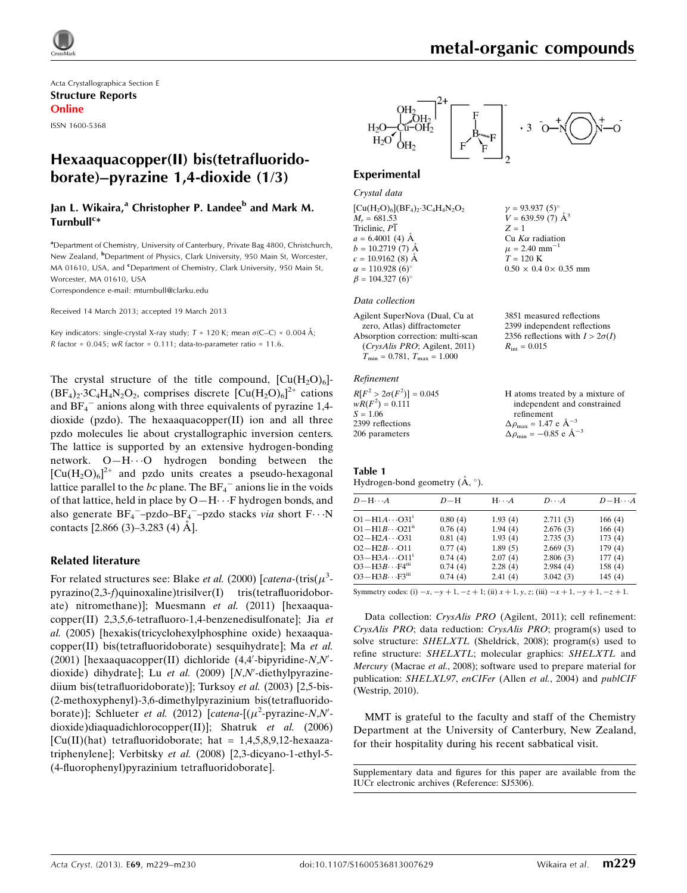

Acta Crystallographica Section E Structure Reports Online

ISSN 1600-5368

# Hexaaquacopper(II) bis(tetrafluoridoborate)–pyrazine 1,4-dioxide (1/3)

# Jan L. Wikaira,<sup>a</sup> Christopher P. Landee<sup>b</sup> and Mark M. Turnbull<sup>c</sup>\*

<sup>a</sup> Department of Chemistry, University of Canterbury, Private Bag 4800, Christchurch, New Zealand, <sup>b</sup>Department of Physics, Clark University, 950 Main St, Worcester, MA 01610, USA, and <sup>c</sup>Department of Chemistry, Clark University, 950 Main St, Worcester, MA 01610, USA

Correspondence e-mail: [mturnbull@clarku.edu](https://scripts.iucr.org/cgi-bin/cr.cgi?rm=pdfbb&cnor=sj5306&bbid=BB14)

Received 14 March 2013; accepted 19 March 2013

Key indicators: single-crystal X-ray study;  $T = 120$  K; mean  $\sigma$ (C–C) = 0.004 Å; R factor =  $0.045$ ; wR factor =  $0.111$ ; data-to-parameter ratio =  $11.6$ .

The crystal structure of the title compound,  $\left[\text{Cu}(H_2O)_6\right]$ - $(BF_4)_2$ ·3C<sub>4</sub>H<sub>4</sub>N<sub>2</sub>O<sub>2</sub>, comprises discrete  $[Cu(H_2O)_6]^{2+}$  cations and  $BF_4^-$  anions along with three equivalents of pyrazine 1,4dioxide (pzdo). The hexaaquacopper(II) ion and all three pzdo molecules lie about crystallographic inversion centers. The lattice is supported by an extensive hydrogen-bonding network. O-H $\cdot \cdot$ O hydrogen bonding between the  $[Cu(H<sub>2</sub>O)<sub>6</sub>]<sup>2+</sup>$  and pzdo units creates a pseudo-hexagonal lattice parallel to the bc plane. The  $BF_4^-$  anions lie in the voids of that lattice, held in place by O-H $\cdots$ F hydrogen bonds, and also generate  $BF_4$ <sup>-</sup>-pzdo-BF<sub>4</sub><sup>-</sup>-pzdo stacks *via* short  $F \cdots N$ contacts  $[2.866 (3) - 3.283 (4)$  Å].

#### Related literature

For related structures see: Blake *et al.* (2000) [*catena*-(tris( $\mu^3$ pyrazino(2,3-f)quinoxaline)trisilver(I) tris(tetrafluoridoborate) nitromethane)]; Muesmann et al. (2011) [hexaaquacopper(II) 2,3,5,6-tetrafluoro-1,4-benzenedisulfonate]; Jia et al. (2005) [hexakis(tricyclohexylphosphine oxide) hexaaquacopper(II) bis(tetrafluoridoborate) sesquihydrate]; Ma et al.  $(2001)$  [hexaaquacopper(II) dichloride  $(4,4'-bipyridine-N,N'-b')$ dioxide) dihydrate]; Lu et al. (2009) [N,N'-diethylpyrazinediium bis(tetrafluoridoborate)]; Turksoy et al. (2003) [2,5-bis- (2-methoxyphenyl)-3,6-dimethylpyrazinium bis(tetrafluoridoborate)]; Schlueter et al. (2012) [catena- $[(\mu^2$ -pyrazine-N,N'dioxide)diaquadichlorocopper(II)]; Shatruk et al. (2006)  $[Cu(II)(hat)$  tetrafluoridoborate; hat = 1,4,5,8,9,12-hexaazatriphenylene]; Verbitsky et al. (2008) [2,3-dicyano-1-ethyl-5- (4-fluorophenyl)pyrazinium tetrafluoridoborate].



#### Experimental

Crystal data  $[Cu(H<sub>2</sub>O)<sub>6</sub>](BF<sub>4</sub>)<sub>2</sub>·3C<sub>4</sub>H<sub>4</sub>N<sub>2</sub>O<sub>2</sub>$  $M_{r} = 681.53$ Triclinic, P1  $a = 6.4001$  (4) Å  $b = 10.2719(7)$  Å  $c = 10.9162$  (8) Å  $\alpha = 110.928 (6)$ °  $\beta = 104.327(6)$ °

#### Data collection

Agilent SuperNova (Dual, Cu at zero, Atlas) diffractometer Absorption correction: multi-scan (CrysAlis PRO; Agilent, 2011)  $T_{\text{min}} = 0.781, T_{\text{max}} = 1.000$ 

#### Refinement

| $R[F^2 > 2\sigma(F^2)] = 0.045$ | H atoms treated by a mixture of                    |
|---------------------------------|----------------------------------------------------|
| $wR(F^2) = 0.111$               | independent and constrained                        |
| $S = 1.06$                      | refinement                                         |
| 2399 reflections                | $\Delta \rho_{\text{max}} = 1.47 \text{ e A}^{-3}$ |
| 206 parameters                  | $\Delta \rho_{\text{min}} = -0.85$ e $\AA^{-3}$    |

Table 1 Hydrogen-bond geometry  $(\AA, \degree)$ .

| $D - H \cdots A$                    | $D-H$   | $H \cdot \cdot \cdot A$ | $D\cdots A$ | $D - H \cdots A$ |
|-------------------------------------|---------|-------------------------|-------------|------------------|
| $O1 - H1A \cdots O31$               | 0.80(4) | 1.93(4)                 | 2.711(3)    | 166(4)           |
| $O1 - H1B \cdots O21$ <sup>ii</sup> | 0.76(4) | 1.94(4)                 | 2.676(3)    | 166(4)           |
| $O2 - H2A \cdots O31$               | 0.81(4) | 1.93(4)                 | 2.735(3)    | 173(4)           |
| $O2 - H2B \cdots O11$               | 0.77(4) | 1.89(5)                 | 2.669(3)    | 179(4)           |
| $O3 - H3A \cdots O11$ <sup>1</sup>  | 0.74(4) | 2.07(4)                 | 2.806(3)    | 177(4)           |
| $O3-H3B\cdots F4m$                  | 0.74(4) | 2.28(4)                 | 2.984(4)    | 158(4)           |
| $O3 - H3B \cdots F3$ <sup>iii</sup> | 0.74(4) | 2.41(4)                 | 3.042(3)    | 145(4)           |

Symmetry codes: (i)  $-x$ ,  $-y + 1$ ,  $-z + 1$ ; (ii)  $x + 1$ ,  $y$ ,  $z$ ; (iii)  $-x + 1$ ,  $-y + 1$ ,  $-z + 1$ .

Data collection: CrysAlis PRO (Agilent, 2011); cell refinement: CrysAlis PRO; data reduction: CrysAlis PRO; program(s) used to solve structure: SHELXTL (Sheldrick, 2008); program(s) used to refine structure: SHELXTL; molecular graphics: SHELXTL and Mercury (Macrae et al., 2008); software used to prepare material for publication: SHELXL97, enCIFer (Allen et al., 2004) and publCIF (Westrip, 2010).

MMT is grateful to the faculty and staff of the Chemistry Department at the University of Canterbury, New Zealand, for their hospitality during his recent sabbatical visit.

Supplementary data and figures for this paper are available from the IUCr electronic archives (Reference: SJ5306).

 $v = 93.937(5)$ °  $V = 639.59$  (7)  $\AA^3$ 

Cu  $K\alpha$  radiation  $\mu$  = 2.40 mm<sup>-1</sup>  $T = 120$  K

 $R_{\rm int} = 0.015$ 

 $0.50 \times 0.4$  0  $\times$  0.35 mm

3851 measured reflections 2399 independent reflections 2356 reflections with  $I > 2\sigma(I)$ 

 $Z = 1$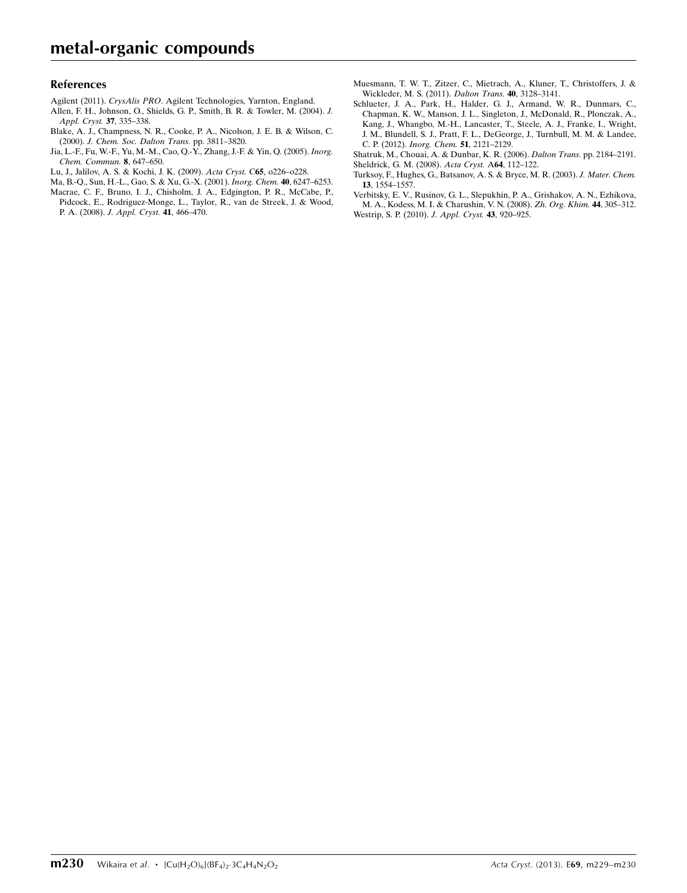#### References

- Agilent (2011). CrysAlis PRO[. Agilent Technologies, Yarnton, England.](https://scripts.iucr.org/cgi-bin/cr.cgi?rm=pdfbb&cnor=sj5306&bbid=BB1)
- [Allen, F. H., Johnson, O., Shields, G. P., Smith, B. R. & Towler, M. \(2004\).](https://scripts.iucr.org/cgi-bin/cr.cgi?rm=pdfbb&cnor=sj5306&bbid=BB2) J. [Appl. Cryst.](https://scripts.iucr.org/cgi-bin/cr.cgi?rm=pdfbb&cnor=sj5306&bbid=BB2) 37, 335–338.
- [Blake, A. J., Champness, N. R., Cooke, P. A., Nicolson, J. E. B. & Wilson, C.](https://scripts.iucr.org/cgi-bin/cr.cgi?rm=pdfbb&cnor=sj5306&bbid=BB3) (2000). [J. Chem. Soc. Dalton Trans.](https://scripts.iucr.org/cgi-bin/cr.cgi?rm=pdfbb&cnor=sj5306&bbid=BB3) pp. 3811–3820.
- [Jia, L.-F., Fu, W.-F., Yu, M.-M., Cao, Q.-Y., Zhang, J.-F. & Yin, Q. \(2005\).](https://scripts.iucr.org/cgi-bin/cr.cgi?rm=pdfbb&cnor=sj5306&bbid=BB4) Inorg. [Chem. Commun.](https://scripts.iucr.org/cgi-bin/cr.cgi?rm=pdfbb&cnor=sj5306&bbid=BB4) 8, 647–650.
- [Lu, J., Jalilov, A. S. & Kochi, J. K. \(2009\).](https://scripts.iucr.org/cgi-bin/cr.cgi?rm=pdfbb&cnor=sj5306&bbid=BB5) Acta Cryst. C65, o226–o228.
- [Ma, B.-Q., Sun, H.-L., Gao, S. & Xu, G.-X. \(2001\).](https://scripts.iucr.org/cgi-bin/cr.cgi?rm=pdfbb&cnor=sj5306&bbid=BB6) Inorg. Chem. 40, 6247–6253.
- [Macrae, C. F., Bruno, I. J., Chisholm, J. A., Edgington, P. R., McCabe, P.,](https://scripts.iucr.org/cgi-bin/cr.cgi?rm=pdfbb&cnor=sj5306&bbid=BB7) [Pidcock, E., Rodriguez-Monge, L., Taylor, R., van de Streek, J. & Wood,](https://scripts.iucr.org/cgi-bin/cr.cgi?rm=pdfbb&cnor=sj5306&bbid=BB7) P. A. (2008). [J. Appl. Cryst.](https://scripts.iucr.org/cgi-bin/cr.cgi?rm=pdfbb&cnor=sj5306&bbid=BB7) 41, 466–470.
- [Muesmann, T. W. T., Zitzer, C., Mietrach, A., Kluner, T., Christoffers, J. &](https://scripts.iucr.org/cgi-bin/cr.cgi?rm=pdfbb&cnor=sj5306&bbid=BB8) [Wickleder, M. S. \(2011\).](https://scripts.iucr.org/cgi-bin/cr.cgi?rm=pdfbb&cnor=sj5306&bbid=BB8) Dalton Trans. 40, 3128–3141.
- [Schlueter, J. A., Park, H., Halder, G. J., Armand, W. R., Dunmars, C.,](https://scripts.iucr.org/cgi-bin/cr.cgi?rm=pdfbb&cnor=sj5306&bbid=BB9) [Chapman, K. W., Manson, J. L., Singleton, J., McDonald, R., Plonczak, A.,](https://scripts.iucr.org/cgi-bin/cr.cgi?rm=pdfbb&cnor=sj5306&bbid=BB9) [Kang, J., Whangbo, M.-H., Lancaster, T., Steele, A. J., Franke, I., Wright,](https://scripts.iucr.org/cgi-bin/cr.cgi?rm=pdfbb&cnor=sj5306&bbid=BB9) [J. M., Blundell, S. J., Pratt, F. L., DeGeorge, J., Turnbull, M. M. & Landee,](https://scripts.iucr.org/cgi-bin/cr.cgi?rm=pdfbb&cnor=sj5306&bbid=BB9) C. P. (2012). [Inorg. Chem.](https://scripts.iucr.org/cgi-bin/cr.cgi?rm=pdfbb&cnor=sj5306&bbid=BB9) 51, 2121–2129.

[Shatruk, M., Chouai, A. & Dunbar, K. R. \(2006\).](https://scripts.iucr.org/cgi-bin/cr.cgi?rm=pdfbb&cnor=sj5306&bbid=BB10) Dalton Trans. pp. 2184–2191. [Sheldrick, G. M. \(2008\).](https://scripts.iucr.org/cgi-bin/cr.cgi?rm=pdfbb&cnor=sj5306&bbid=BB11) Acta Cryst. A64, 112–122.

- [Turksoy, F., Hughes, G., Batsanov, A. S. & Bryce, M. R. \(2003\).](https://scripts.iucr.org/cgi-bin/cr.cgi?rm=pdfbb&cnor=sj5306&bbid=BB12) J. Mater. Chem. 13[, 1554–1557.](https://scripts.iucr.org/cgi-bin/cr.cgi?rm=pdfbb&cnor=sj5306&bbid=BB12)
- [Verbitsky, E. V., Rusinov, G. L., Slepukhin, P. A., Grishakov, A. N., Ezhikova,](https://scripts.iucr.org/cgi-bin/cr.cgi?rm=pdfbb&cnor=sj5306&bbid=BB13) [M. A., Kodess, M. I. & Charushin, V. N. \(2008\).](https://scripts.iucr.org/cgi-bin/cr.cgi?rm=pdfbb&cnor=sj5306&bbid=BB13) Zh. Org. Khim. 44, 305–312. [Westrip, S. P. \(2010\).](https://scripts.iucr.org/cgi-bin/cr.cgi?rm=pdfbb&cnor=sj5306&bbid=BB14) J. Appl. Cryst. 43, 920–925.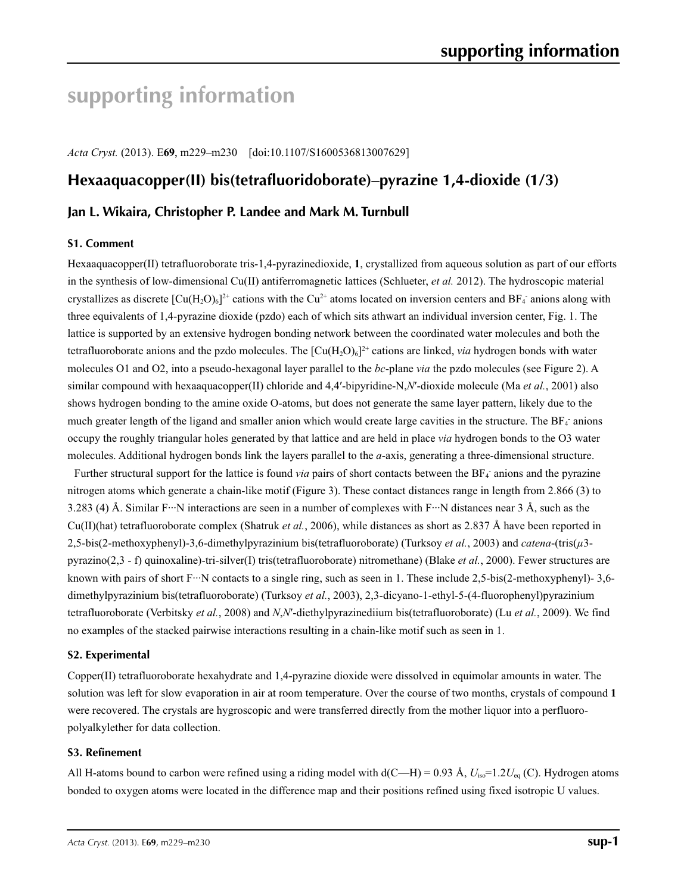# **supporting information**

*Acta Cryst.* (2013). E**69**, m229–m230 [doi:10.1107/S1600536813007629]

# **Hexaaquacopper(II) bis(tetrafluoridoborate)–pyrazine 1,4-dioxide (1/3)**

# **Jan L. Wikaira, Christopher P. Landee and Mark M. Turnbull**

#### **S1. Comment**

Hexaaquacopper(II) tetrafluoroborate tris-1,4-pyrazinedioxide, **1**, crystallized from aqueous solution as part of our efforts in the synthesis of low-dimensional Cu(II) antiferromagnetic lattices (Schlueter, *et al.* 2012). The hydroscopic material crystallizes as discrete  $[Cu(H<sub>2</sub>O)<sub>6</sub>]<sup>2+</sup>$  cations with the Cu<sup>2+</sup> atoms located on inversion centers and BF<sub>4</sub><sup>-</sup> anions along with three equivalents of 1,4-pyrazine dioxide (pzdo) each of which sits athwart an individual inversion center, Fig. 1. The lattice is supported by an extensive hydrogen bonding network between the coordinated water molecules and both the tetrafluoroborate anions and the pzdo molecules. The  $\left[\text{Cu}(H_2O)_6\right]^{2+}$  cations are linked, *via* hydrogen bonds with water molecules O1 and O2, into a pseudo-hexagonal layer parallel to the *bc*-plane *via* the pzdo molecules (see Figure 2). A similar compound with hexaaquacopper(II) chloride and 4,4′-bipyridine-N,*N*′-dioxide molecule (Ma *et al.*, 2001) also shows hydrogen bonding to the amine oxide O-atoms, but does not generate the same layer pattern, likely due to the much greater length of the ligand and smaller anion which would create large cavities in the structure. The  $BF_4$  anions occupy the roughly triangular holes generated by that lattice and are held in place *via* hydrogen bonds to the O3 water molecules. Additional hydrogen bonds link the layers parallel to the *a*-axis, generating a three-dimensional structure.

Further structural support for the lattice is found *via* pairs of short contacts between the BF<sub>4</sub> anions and the pyrazine nitrogen atoms which generate a chain-like motif (Figure 3). These contact distances range in length from 2.866 (3) to 3.283 (4) Å. Similar F…N interactions are seen in a number of complexes with F…N distances near 3 Å, such as the Cu(II)(hat) tetrafluoroborate complex (Shatruk *et al.*, 2006), while distances as short as 2.837 Å have been reported in 2,5-bis(2-methoxyphenyl)-3,6-dimethylpyrazinium bis(tetrafluoroborate) (Turksoy *et al.*, 2003) and *catena*-(tris(*µ*3 pyrazino(2,3 - f) quinoxaline)-tri-silver(I) tris(tetrafluoroborate) nitromethane) (Blake *et al.*, 2000). Fewer structures are known with pairs of short F···N contacts to a single ring, such as seen in 1. These include 2,5-bis(2-methoxyphenyl)- 3,6dimethylpyrazinium bis(tetrafluoroborate) (Turksoy *et al.*, 2003), 2,3-dicyano-1-ethyl-5-(4-fluorophenyl)pyrazinium tetrafluoroborate (Verbitsky *et al.*, 2008) and *N*,*N*′-diethylpyrazinediium bis(tetrafluoroborate) (Lu *et al.*, 2009). We find no examples of the stacked pairwise interactions resulting in a chain-like motif such as seen in 1.

#### **S2. Experimental**

Copper(II) tetrafluoroborate hexahydrate and 1,4-pyrazine dioxide were dissolved in equimolar amounts in water. The solution was left for slow evaporation in air at room temperature. Over the course of two months, crystals of compound **1** were recovered. The crystals are hygroscopic and were transferred directly from the mother liquor into a perfluoropolyalkylether for data collection.

#### **S3. Refinement**

All H-atoms bound to carbon were refined using a riding model with  $d(C-H) = 0.93 \text{ Å}$ ,  $U_{iso} = 1.2 U_{eq}$  (C). Hydrogen atoms bonded to oxygen atoms were located in the difference map and their positions refined using fixed isotropic U values.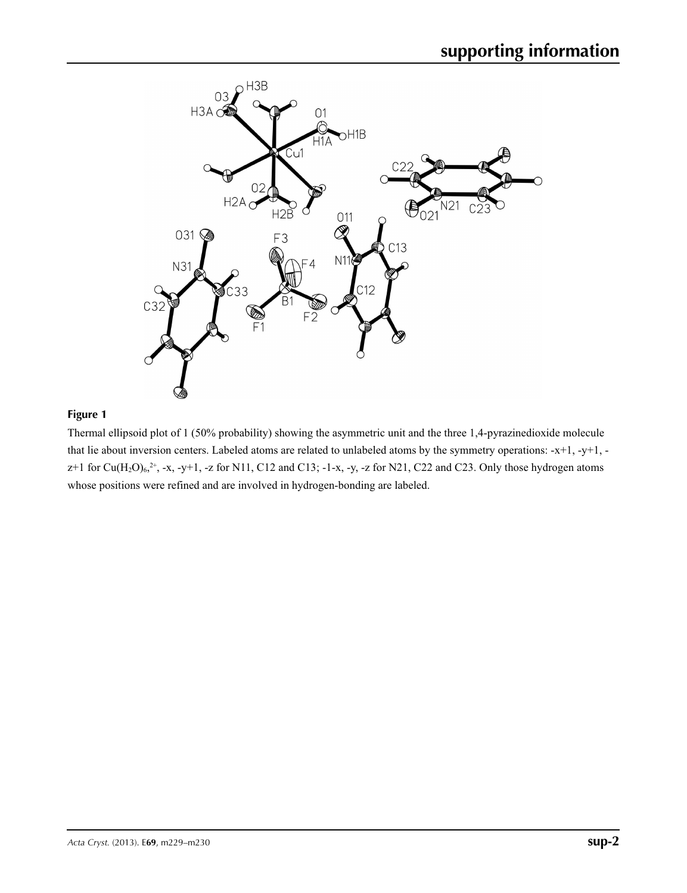

# **Figure 1**

Thermal ellipsoid plot of 1 (50% probability) showing the asymmetric unit and the three 1,4-pyrazinedioxide molecule that lie about inversion centers. Labeled atoms are related to unlabeled atoms by the symmetry operations: -x+1, -y+1,  $z+1$  for Cu(H<sub>2</sub>O)<sub>6</sub>,<sup>2+</sup>, -x, -y+1, -z for N11, C12 and C13; -1-x, -y, -z for N21, C22 and C23. Only those hydrogen atoms whose positions were refined and are involved in hydrogen-bonding are labeled.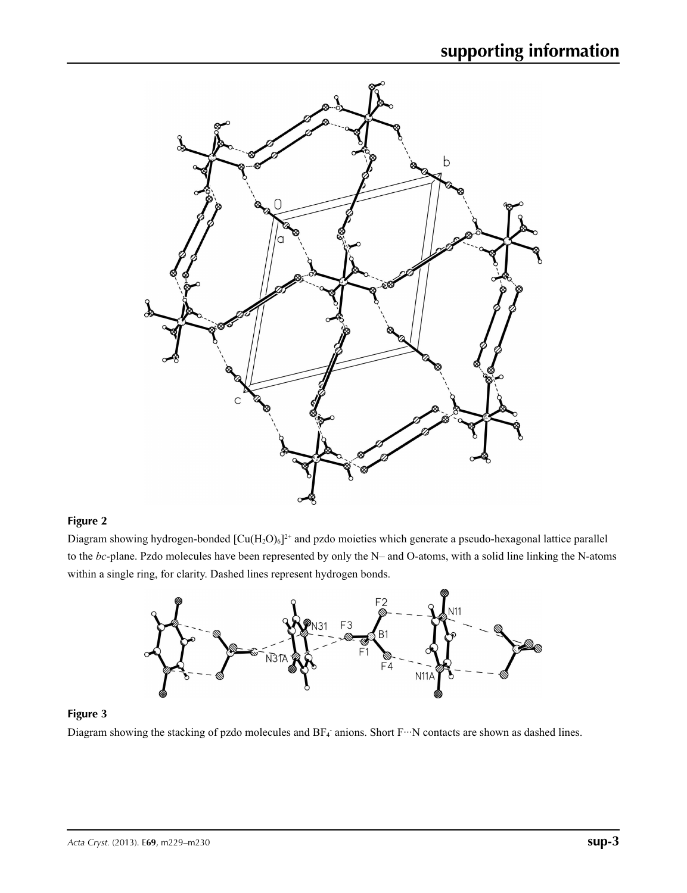

## **Figure 2**

Diagram showing hydrogen-bonded  $[Cu(H_2O)_6]^{2+}$  and pzdo moieties which generate a pseudo-hexagonal lattice parallel to the *bc*-plane. Pzdo molecules have been represented by only the N– and O-atoms, with a solid line linking the N-atoms within a single ring, for clarity. Dashed lines represent hydrogen bonds.



### **Figure 3**

Diagram showing the stacking of pzdo molecules and  $BF_4$  anions. Short  $F \cdots N$  contacts are shown as dashed lines.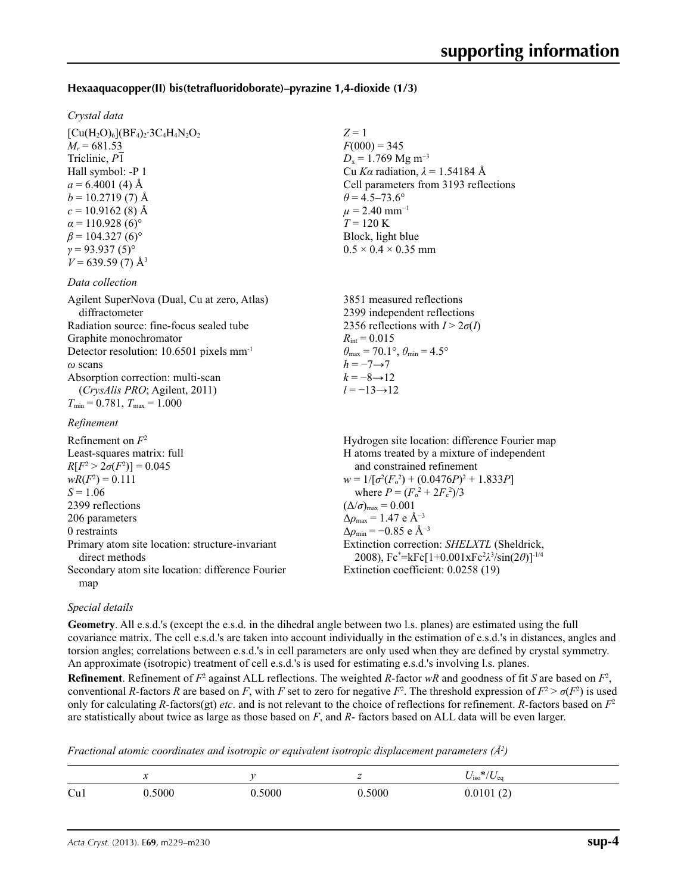### **Hexaaquacopper(II) bis(tetrafluoridoborate)–pyrazine 1,4-dioxide (1/3)**

#### *Crystal data*

 $[Cu(H<sub>2</sub>O)<sub>6</sub>](BF<sub>4</sub>)<sub>2</sub>·3C<sub>4</sub>H<sub>4</sub>N<sub>2</sub>O<sub>2</sub>$  $M_r = 681.53$ Triclinic, *P*1 Hall symbol: -P 1  $a = 6.4001$  (4) Å  $b = 10.2719(7)$  Å  $c = 10.9162(8)$  Å  $\alpha$  = 110.928 (6)<sup>o</sup>  $\beta$  = 104.327 (6)<sup>°</sup>  $γ = 93.937(5)°$  $V = 639.59(7)$  Å<sup>3</sup>

#### *Data collection*

| 3851 measured reflections                                                  |
|----------------------------------------------------------------------------|
| 2399 independent reflections                                               |
| 2356 reflections with $I > 2\sigma(I)$                                     |
| $R_{\text{int}} = 0.015$                                                   |
| $\theta_{\text{max}} = 70.1^{\circ}$ , $\theta_{\text{min}} = 4.5^{\circ}$ |
| $h = -7 \rightarrow 7$                                                     |
| $k = -8 \rightarrow 12$                                                    |
| $l = -13 \rightarrow 12$                                                   |
|                                                                            |
|                                                                            |

#### *Refinement*

| Refinement on $F^2$                                               | Hydrogen site location: difference Fourier map                                                               |
|-------------------------------------------------------------------|--------------------------------------------------------------------------------------------------------------|
| Least-squares matrix: full                                        | H atoms treated by a mixture of independent                                                                  |
| $R[F^2 > 2\sigma(F^2)] = 0.045$                                   | and constrained refinement                                                                                   |
| $wR(F^2) = 0.111$                                                 | $w = 1/[\sigma^2(F_0^2) + (0.0476P)^2 + 1.833P]$                                                             |
| $S = 1.06$                                                        | where $P = (F_o^2 + 2F_c^2)/3$                                                                               |
| 2399 reflections                                                  | $(\Delta/\sigma)_{\text{max}} = 0.001$                                                                       |
| 206 parameters                                                    | $\Delta\rho_{\rm max} = 1.47$ e Å <sup>-3</sup>                                                              |
| 0 restraints                                                      | $\Delta\rho_{\rm min} = -0.85$ e Å <sup>-3</sup>                                                             |
| Primary atom site location: structure-invariant<br>direct methods | Extinction correction: SHELXTL (Sheldrick,<br>2008), $Fc^* = kFc[1+0.001xFc^2\lambda^3/sin(2\theta)]^{-1/4}$ |
| Secondary atom site location: difference Fourier                  | Extinction coefficient: 0.0258 (19)                                                                          |
| map                                                               |                                                                                                              |

#### *Special details*

**Geometry**. All e.s.d.'s (except the e.s.d. in the dihedral angle between two l.s. planes) are estimated using the full covariance matrix. The cell e.s.d.'s are taken into account individually in the estimation of e.s.d.'s in distances, angles and torsion angles; correlations between e.s.d.'s in cell parameters are only used when they are defined by crystal symmetry. An approximate (isotropic) treatment of cell e.s.d.'s is used for estimating e.s.d.'s involving l.s. planes.

*Z* = 1

 $F(000) = 345$  $D_x = 1.769$  Mg m<sup>-3</sup>

 $\theta$  = 4.5–73.6°  $\mu$  = 2.40 mm<sup>-1</sup>  $T = 120 \text{ K}$ Block, light blue  $0.5 \times 0.4 \times 0.35$  mm

Cu *Kα* radiation, *λ* = 1.54184 Å Cell parameters from 3193 reflections

**Refinement**. Refinement of  $F^2$  against ALL reflections. The weighted *R*-factor  $wR$  and goodness of fit *S* are based on  $F^2$ , conventional *R*-factors *R* are based on *F*, with *F* set to zero for negative  $F^2$ . The threshold expression of  $F^2 > \sigma(F^2)$  is used only for calculating *R*-factors(gt) *etc*. and is not relevant to the choice of reflections for refinement. *R*-factors based on *F*<sup>2</sup> are statistically about twice as large as those based on *F*, and *R*- factors based on ALL data will be even larger.

*Fractional atomic coordinates and isotropic or equivalent isotropic displacement parameters (Å<sup>2</sup>)* 

|     | $\ddot{\phantom{0}}$ |       | -     | $*$ / $\mathbf{r}$<br>$\mathbf{u}_{\text{ISO}}$<br>$\vee$ ea |
|-----|----------------------|-------|-------|--------------------------------------------------------------|
| Cu1 | 5000                 | .5000 | .5000 | 0.0101(2)                                                    |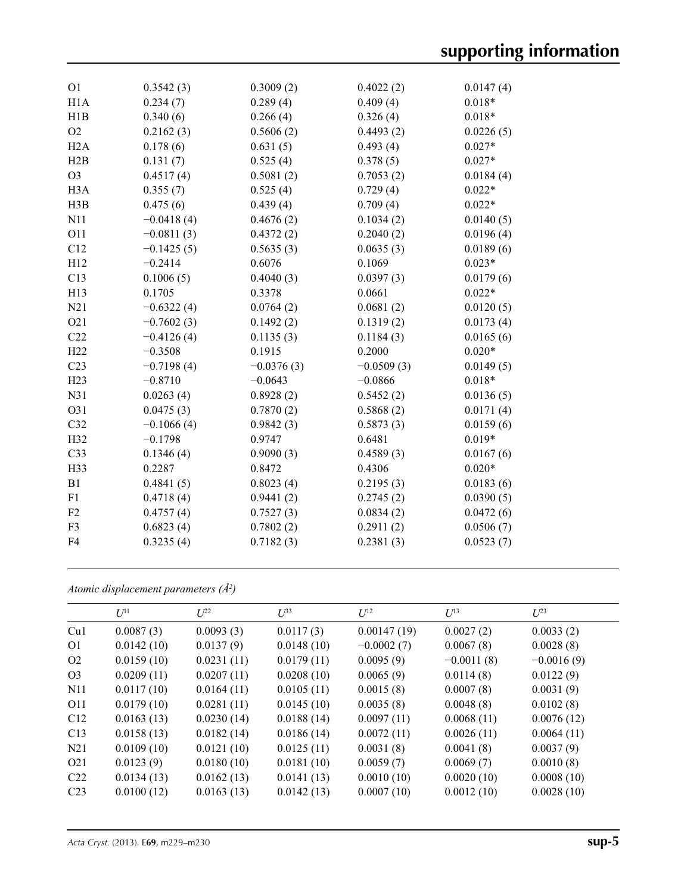| O <sub>1</sub>   | 0.3542(3)    | 0.3009(2)    | 0.4022(2)    | 0.0147(4) |
|------------------|--------------|--------------|--------------|-----------|
| H1A              | 0.234(7)     | 0.289(4)     | 0.409(4)     | $0.018*$  |
| H1B              | 0.340(6)     | 0.266(4)     | 0.326(4)     | $0.018*$  |
| O2               | 0.2162(3)    | 0.5606(2)    | 0.4493(2)    | 0.0226(5) |
| H2A              | 0.178(6)     | 0.631(5)     | 0.493(4)     | $0.027*$  |
| H2B              | 0.131(7)     | 0.525(4)     | 0.378(5)     | $0.027*$  |
| O <sub>3</sub>   | 0.4517(4)    | 0.5081(2)    | 0.7053(2)    | 0.0184(4) |
| H <sub>3</sub> A | 0.355(7)     | 0.525(4)     | 0.729(4)     | $0.022*$  |
| H3B              | 0.475(6)     | 0.439(4)     | 0.709(4)     | $0.022*$  |
| N11              | $-0.0418(4)$ | 0.4676(2)    | 0.1034(2)    | 0.0140(5) |
| O11              | $-0.0811(3)$ | 0.4372(2)    | 0.2040(2)    | 0.0196(4) |
| C12              | $-0.1425(5)$ | 0.5635(3)    | 0.0635(3)    | 0.0189(6) |
| H12              | $-0.2414$    | 0.6076       | 0.1069       | $0.023*$  |
| C13              | 0.1006(5)    | 0.4040(3)    | 0.0397(3)    | 0.0179(6) |
| H13              | 0.1705       | 0.3378       | 0.0661       | $0.022*$  |
| N21              | $-0.6322(4)$ | 0.0764(2)    | 0.0681(2)    | 0.0120(5) |
| O21              | $-0.7602(3)$ | 0.1492(2)    | 0.1319(2)    | 0.0173(4) |
| C22              | $-0.4126(4)$ | 0.1135(3)    | 0.1184(3)    | 0.0165(6) |
| H22              | $-0.3508$    | 0.1915       | 0.2000       | $0.020*$  |
| C <sub>23</sub>  | $-0.7198(4)$ | $-0.0376(3)$ | $-0.0509(3)$ | 0.0149(5) |
| H23              | $-0.8710$    | $-0.0643$    | $-0.0866$    | $0.018*$  |
| N31              | 0.0263(4)    | 0.8928(2)    | 0.5452(2)    | 0.0136(5) |
| O31              | 0.0475(3)    | 0.7870(2)    | 0.5868(2)    | 0.0171(4) |
| C32              | $-0.1066(4)$ | 0.9842(3)    | 0.5873(3)    | 0.0159(6) |
| H32              | $-0.1798$    | 0.9747       | 0.6481       | $0.019*$  |
| C33              | 0.1346(4)    | 0.9090(3)    | 0.4589(3)    | 0.0167(6) |
| H33              | 0.2287       | 0.8472       | 0.4306       | $0.020*$  |
| B1               | 0.4841(5)    | 0.8023(4)    | 0.2195(3)    | 0.0183(6) |
| F1               | 0.4718(4)    | 0.9441(2)    | 0.2745(2)    | 0.0390(5) |
| F2               | 0.4757(4)    | 0.7527(3)    | 0.0834(2)    | 0.0472(6) |
| F3               | 0.6823(4)    | 0.7802(2)    | 0.2911(2)    | 0.0506(7) |
| F4               | 0.3235(4)    | 0.7182(3)    | 0.2381(3)    | 0.0523(7) |
|                  |              |              |              |           |

*Atomic displacement parameters (Å2 )*

|                  | $U^{11}$   | $U^{22}$   | $U^{33}$   | $U^{12}$     | $U^{13}$     | $U^{23}$     |
|------------------|------------|------------|------------|--------------|--------------|--------------|
| Cu1              | 0.0087(3)  | 0.0093(3)  | 0.0117(3)  | 0.00147(19)  | 0.0027(2)    | 0.0033(2)    |
| O <sub>1</sub>   | 0.0142(10) | 0.0137(9)  | 0.0148(10) | $-0.0002(7)$ | 0.0067(8)    | 0.0028(8)    |
| O <sub>2</sub>   | 0.0159(10) | 0.0231(11) | 0.0179(11) | 0.0095(9)    | $-0.0011(8)$ | $-0.0016(9)$ |
| O <sub>3</sub>   | 0.0209(11) | 0.0207(11) | 0.0208(10) | 0.0065(9)    | 0.0114(8)    | 0.0122(9)    |
| N <sub>11</sub>  | 0.0117(10) | 0.0164(11) | 0.0105(11) | 0.0015(8)    | 0.0007(8)    | 0.0031(9)    |
| O11              | 0.0179(10) | 0.0281(11) | 0.0145(10) | 0.0035(8)    | 0.0048(8)    | 0.0102(8)    |
| C12              | 0.0163(13) | 0.0230(14) | 0.0188(14) | 0.0097(11)   | 0.0068(11)   | 0.0076(12)   |
| C13              | 0.0158(13) | 0.0182(14) | 0.0186(14) | 0.0072(11)   | 0.0026(11)   | 0.0064(11)   |
| N <sub>21</sub>  | 0.0109(10) | 0.0121(10) | 0.0125(11) | 0.0031(8)    | 0.0041(8)    | 0.0037(9)    |
| O <sub>2</sub> 1 | 0.0123(9)  | 0.0180(10) | 0.0181(10) | 0.0059(7)    | 0.0069(7)    | 0.0010(8)    |
| C22              | 0.0134(13) | 0.0162(13) | 0.0141(13) | 0.0010(10)   | 0.0020(10)   | 0.0008(10)   |
| C <sub>23</sub>  | 0.0100(12) | 0.0163(13) | 0.0142(13) | 0.0007(10)   | 0.0012(10)   | 0.0028(10)   |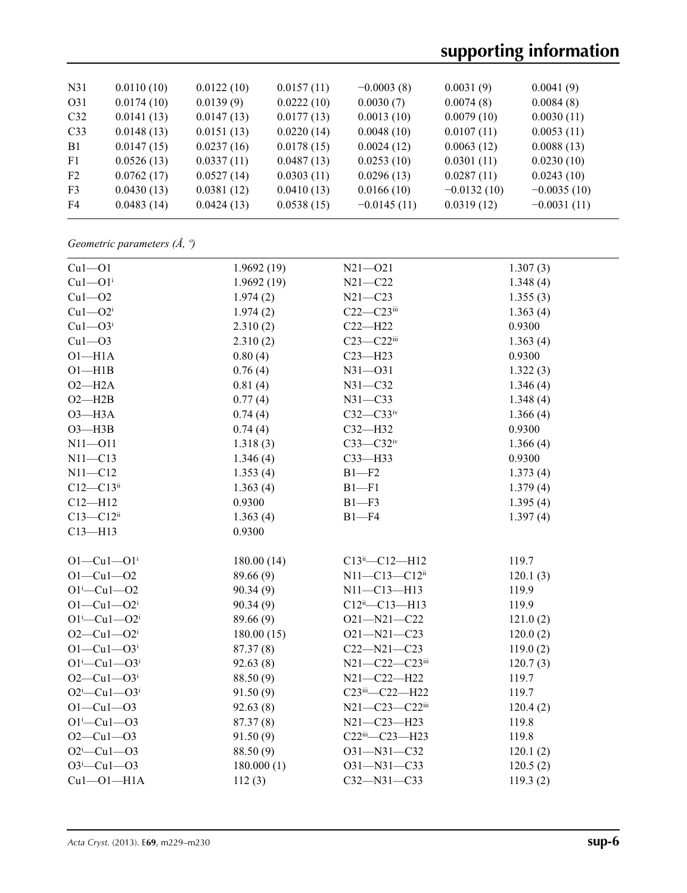# **supporting information**

| N <sub>31</sub> | 0.0110(10) | 0.0122(10) | 0.0157(11) | $-0.0003(8)$  | 0.0031(9)     | 0.0041(9)     |
|-----------------|------------|------------|------------|---------------|---------------|---------------|
| O31             | 0.0174(10) | 0.0139(9)  | 0.0222(10) | 0.0030(7)     | 0.0074(8)     | 0.0084(8)     |
| C <sub>32</sub> | 0.0141(13) | 0.0147(13) | 0.0177(13) | 0.0013(10)    | 0.0079(10)    | 0.0030(11)    |
| C <sub>33</sub> | 0.0148(13) | 0.0151(13) | 0.0220(14) | 0.0048(10)    | 0.0107(11)    | 0.0053(11)    |
| B1              | 0.0147(15) | 0.0237(16) | 0.0178(15) | 0.0024(12)    | 0.0063(12)    | 0.0088(13)    |
| F1              | 0.0526(13) | 0.0337(11) | 0.0487(13) | 0.0253(10)    | 0.0301(11)    | 0.0230(10)    |
| F2              | 0.0762(17) | 0.0527(14) | 0.0303(11) | 0.0296(13)    | 0.0287(11)    | 0.0243(10)    |
| F <sub>3</sub>  | 0.0430(13) | 0.0381(12) | 0.0410(13) | 0.0166(10)    | $-0.0132(10)$ | $-0.0035(10)$ |
| F4              | 0.0483(14) | 0.0424(13) | 0.0538(15) | $-0.0145(11)$ | 0.0319(12)    | $-0.0031(11)$ |
|                 |            |            |            |               |               |               |

*Geometric parameters (Å, º)*

| $Cu1 - O1$                   | 1.9692(19) | $N21 - 021$            | 1.307(3) |
|------------------------------|------------|------------------------|----------|
| $Cu1 - O1$ <sup>i</sup>      | 1.9692(19) | $N21 - C22$            | 1.348(4) |
| $Cu1 - O2$                   | 1.974(2)   | $N21 - C23$            | 1.355(3) |
| $Cu1 - O2i$                  | 1.974(2)   | $C22-C23$ iii          | 1.363(4) |
| $Cu1 - O3i$                  | 2.310(2)   | $C22-H22$              | 0.9300   |
| $Cu1 - O3$                   | 2.310(2)   | $C23 - C22$ iii        | 1.363(4) |
| $O1 - H1A$                   | 0.80(4)    | $C23 - H23$            | 0.9300   |
| $O1 - H1B$                   | 0.76(4)    | $N31 - 031$            | 1.322(3) |
| $O2 - H2A$                   | 0.81(4)    | $N31 - C32$            | 1.346(4) |
| $O2 - H2B$                   | 0.77(4)    | $N31 - C33$            | 1.348(4) |
| $O3 - H3A$                   | 0.74(4)    | $C32-C33$ iv           | 1.366(4) |
| $O3 - H3B$                   | 0.74(4)    | $C32 - H32$            | 0.9300   |
| $N11 - 011$                  | 1.318(3)   | $C33-C32$ iv           | 1.366(4) |
| $N11 - C13$                  | 1.346(4)   | $C33$ -H33             | 0.9300   |
| $N11 - C12$                  | 1.353(4)   | $B1 - F2$              | 1.373(4) |
| $C12 - C13$ <sup>ii</sup>    | 1.363(4)   | $B1 - F1$              | 1.379(4) |
| $C12 - H12$                  | 0.9300     | $B1 - F3$              | 1.395(4) |
| $C13 - C12$ <sup>ii</sup>    | 1.363(4)   | $B1 - F4$              | 1.397(4) |
| $C13 - H13$                  | 0.9300     |                        |          |
|                              |            |                        |          |
| $O1 - Cu1 - O1$ <sup>i</sup> | 180.00(14) | C13ii-C12-H12          | 119.7    |
| $O1 - Cu1 - O2$              | 89.66 (9)  | N11-C13-C12ii          | 120.1(3) |
| $O1^{i} - Cu1 - O2$          | 90.34(9)   | N11-C13-H13            | 119.9    |
| $O1 - Cu1 - O2$ <sup>i</sup> | 90.34(9)   | $C12^{ii} - C13 - H13$ | 119.9    |
| $O1^{i}$ -Cu $1$ - $O2^{i}$  | 89.66 (9)  | O21-N21-C22            | 121.0(2) |
| $O2 - Cu1 - O2$ <sup>i</sup> | 180.00(15) | $O21 - N21 - C23$      | 120.0(2) |
| $O1 - Cu1 - O3$ <sup>i</sup> | 87.37(8)   | $C22 - N21 - C23$      | 119.0(2) |
| $O1^{i}$ -Cu $1$ - $O3^{i}$  | 92.63(8)   | N21-C22-C23iii         | 120.7(3) |
| $O2 - Cu1 - O3$ <sup>i</sup> | 88.50 (9)  | N21-C22-H22            | 119.7    |
| $O2^i$ -Cul- $O3^i$          | 91.50(9)   | C23iii-C22-H22         | 119.7    |
| $O1 - Cu1 - O3$              | 92.63(8)   | N21-C23-C22iii         | 120.4(2) |
| $O1^{i} - Cu1 - O3$          | 87.37(8)   | N21-C23-H23            | 119.8    |
| $O2 - Cu1 - O3$              | 91.50(9)   | C22iii-C23-H23         | 119.8    |
| $O2^i$ -Cul- $O3$            | 88.50 (9)  | $O31 - N31 - C32$      | 120.1(2) |
| $O3^i$ -Cu1- $O3$            | 180.000(1) | O31-N31-C33            | 120.5(2) |
| $Cu1 - O1 - H1A$             | 112(3)     | C32-N31-C33            | 119.3(2) |